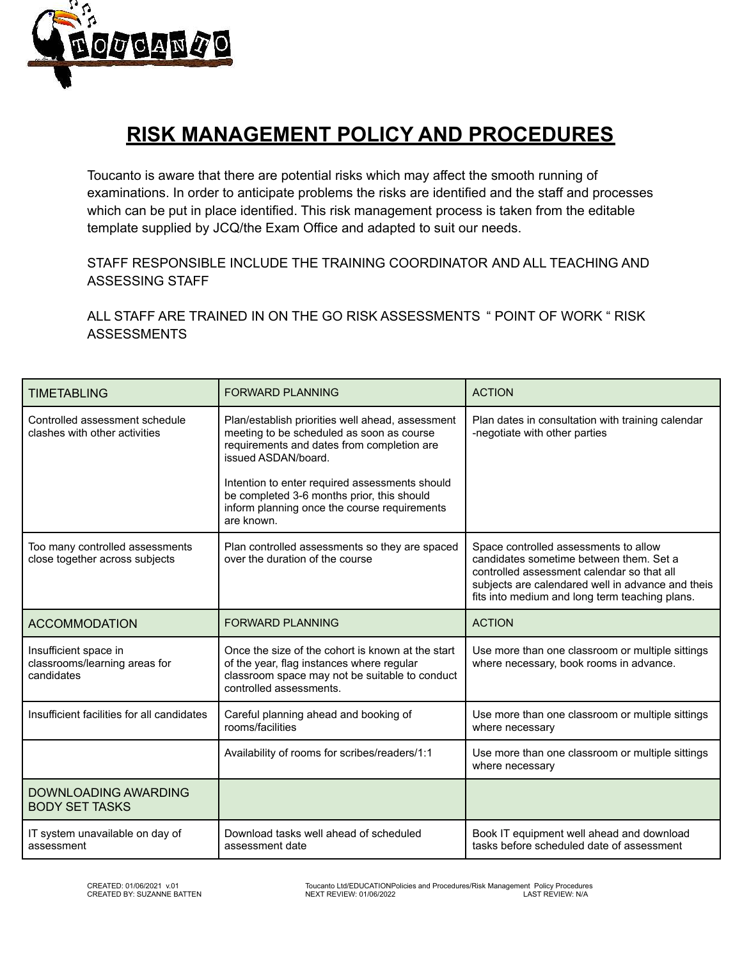

## **RISK MANAGEMENT POLICY AND PROCEDURES**

Toucanto is aware that there are potential risks which may affect the smooth running of examinations. In order to anticipate problems the risks are identified and the staff and processes which can be put in place identified. This risk management process is taken from the editable template supplied by JCQ/the Exam Office and adapted to suit our needs.

STAFF RESPONSIBLE INCLUDE THE TRAINING COORDINATOR AND ALL TEACHING AND ASSESSING STAFF

ALL STAFF ARE TRAINED IN ON THE GO RISK ASSESSMENTS " POINT OF WORK " RISK ASSESSMENTS

| <b>TIMETABLING</b>                                                   | <b>FORWARD PLANNING</b>                                                                                                                                                                                              | <b>ACTION</b>                                                                                                                                                                                                                         |
|----------------------------------------------------------------------|----------------------------------------------------------------------------------------------------------------------------------------------------------------------------------------------------------------------|---------------------------------------------------------------------------------------------------------------------------------------------------------------------------------------------------------------------------------------|
| Controlled assessment schedule<br>clashes with other activities      | Plan/establish priorities well ahead, assessment<br>meeting to be scheduled as soon as course<br>requirements and dates from completion are<br>issued ASDAN/board.<br>Intention to enter required assessments should | Plan dates in consultation with training calendar<br>-negotiate with other parties                                                                                                                                                    |
|                                                                      | be completed 3-6 months prior, this should<br>inform planning once the course requirements<br>are known.                                                                                                             |                                                                                                                                                                                                                                       |
| Too many controlled assessments<br>close together across subjects    | Plan controlled assessments so they are spaced<br>over the duration of the course                                                                                                                                    | Space controlled assessments to allow<br>candidates sometime between them. Set a<br>controlled assessment calendar so that all<br>subjects are calendared well in advance and theis<br>fits into medium and long term teaching plans. |
| <b>ACCOMMODATION</b>                                                 | <b>FORWARD PLANNING</b>                                                                                                                                                                                              | <b>ACTION</b>                                                                                                                                                                                                                         |
| Insufficient space in<br>classrooms/learning areas for<br>candidates | Once the size of the cohort is known at the start<br>of the year, flag instances where regular<br>classroom space may not be suitable to conduct<br>controlled assessments.                                          | Use more than one classroom or multiple sittings<br>where necessary, book rooms in advance.                                                                                                                                           |
| Insufficient facilities for all candidates                           | Careful planning ahead and booking of<br>rooms/facilities                                                                                                                                                            | Use more than one classroom or multiple sittings<br>where necessary                                                                                                                                                                   |
|                                                                      | Availability of rooms for scribes/readers/1:1                                                                                                                                                                        | Use more than one classroom or multiple sittings<br>where necessary                                                                                                                                                                   |
| <b>DOWNLOADING AWARDING</b><br><b>BODY SET TASKS</b>                 |                                                                                                                                                                                                                      |                                                                                                                                                                                                                                       |
| IT system unavailable on day of<br>assessment                        | Download tasks well ahead of scheduled<br>assessment date                                                                                                                                                            | Book IT equipment well ahead and download<br>tasks before scheduled date of assessment                                                                                                                                                |

CREATED: 01/06/2021 v.01 CREATED: Toucanto Ltd/EDUCATIONPolicies and Procedures/Risk Management Policy Procedures<br>CREATED BY: SUZANNE BATTEN CREATED NEXT REVIEW: 01/06/2022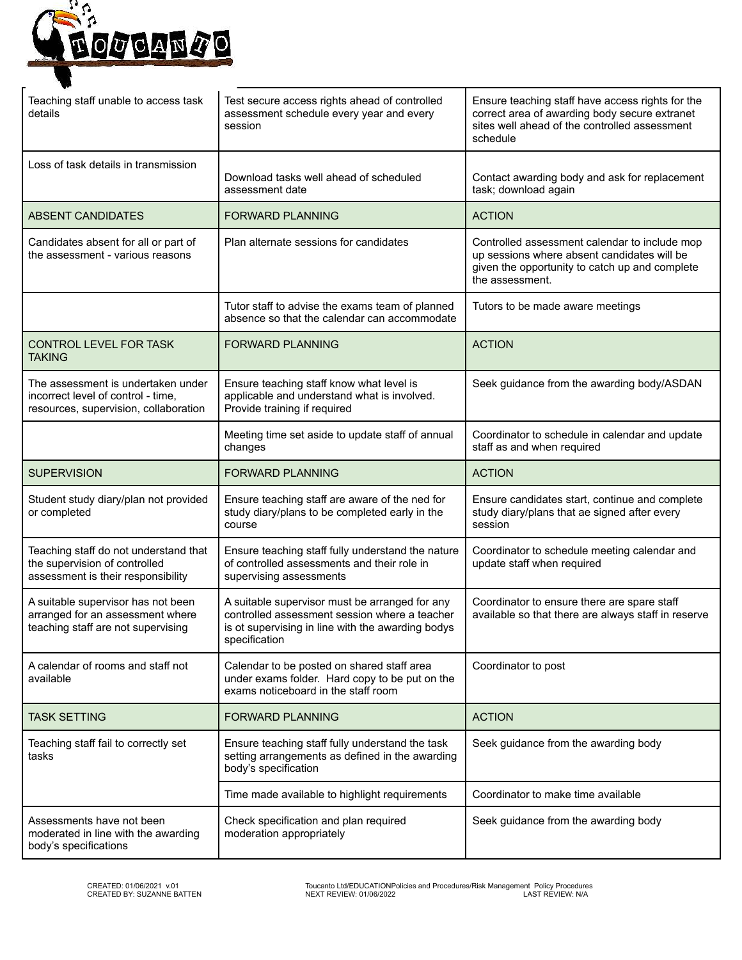

| Teaching staff unable to access task<br>details                                                                   | Test secure access rights ahead of controlled<br>assessment schedule every year and every<br>session                                                                  | Ensure teaching staff have access rights for the<br>correct area of awarding body secure extranet<br>sites well ahead of the controlled assessment<br>schedule    |  |
|-------------------------------------------------------------------------------------------------------------------|-----------------------------------------------------------------------------------------------------------------------------------------------------------------------|-------------------------------------------------------------------------------------------------------------------------------------------------------------------|--|
| Loss of task details in transmission                                                                              | Download tasks well ahead of scheduled<br>assessment date                                                                                                             | Contact awarding body and ask for replacement<br>task; download again                                                                                             |  |
| <b>ABSENT CANDIDATES</b>                                                                                          | <b>FORWARD PLANNING</b>                                                                                                                                               | <b>ACTION</b>                                                                                                                                                     |  |
| Candidates absent for all or part of<br>the assessment - various reasons                                          | Plan alternate sessions for candidates                                                                                                                                | Controlled assessment calendar to include mop<br>up sessions where absent candidates will be<br>given the opportunity to catch up and complete<br>the assessment. |  |
|                                                                                                                   | Tutor staff to advise the exams team of planned<br>absence so that the calendar can accommodate                                                                       | Tutors to be made aware meetings                                                                                                                                  |  |
| CONTROL LEVEL FOR TASK<br><b>TAKING</b>                                                                           | <b>FORWARD PLANNING</b>                                                                                                                                               | <b>ACTION</b>                                                                                                                                                     |  |
| The assessment is undertaken under<br>incorrect level of control - time,<br>resources, supervision, collaboration | Ensure teaching staff know what level is<br>applicable and understand what is involved.<br>Provide training if required                                               | Seek guidance from the awarding body/ASDAN                                                                                                                        |  |
|                                                                                                                   | Meeting time set aside to update staff of annual<br>changes                                                                                                           | Coordinator to schedule in calendar and update<br>staff as and when required                                                                                      |  |
| <b>SUPERVISION</b>                                                                                                | <b>FORWARD PLANNING</b>                                                                                                                                               | <b>ACTION</b>                                                                                                                                                     |  |
| Student study diary/plan not provided<br>or completed                                                             | Ensure teaching staff are aware of the ned for<br>study diary/plans to be completed early in the<br>course                                                            | Ensure candidates start, continue and complete<br>study diary/plans that ae signed after every<br>session                                                         |  |
| Teaching staff do not understand that<br>the supervision of controlled<br>assessment is their responsibility      | Ensure teaching staff fully understand the nature<br>of controlled assessments and their role in<br>supervising assessments                                           | Coordinator to schedule meeting calendar and<br>update staff when required                                                                                        |  |
| A suitable supervisor has not been<br>arranged for an assessment where<br>teaching staff are not supervising      | A suitable supervisor must be arranged for any<br>controlled assessment session where a teacher<br>is ot supervising in line with the awarding bodys<br>specification | Coordinator to ensure there are spare staff<br>available so that there are always staff in reserve                                                                |  |
| A calendar of rooms and staff not<br>available                                                                    | Calendar to be posted on shared staff area<br>under exams folder. Hard copy to be put on the<br>exams noticeboard in the staff room                                   | Coordinator to post                                                                                                                                               |  |
| <b>TASK SETTING</b>                                                                                               | <b>FORWARD PLANNING</b>                                                                                                                                               | <b>ACTION</b>                                                                                                                                                     |  |
| Teaching staff fail to correctly set<br>tasks                                                                     | Ensure teaching staff fully understand the task<br>setting arrangements as defined in the awarding<br>body's specification                                            | Seek guidance from the awarding body                                                                                                                              |  |
|                                                                                                                   | Time made available to highlight requirements                                                                                                                         | Coordinator to make time available                                                                                                                                |  |
| Assessments have not been<br>moderated in line with the awarding<br>body's specifications                         | Check specification and plan required<br>moderation appropriately                                                                                                     | Seek guidance from the awarding body                                                                                                                              |  |

CREATED: 01/06/2021 v.01 Toucanto Ltd/EDUCATIONPolicies and Procedures/Risk Management Policy Procedures CREATED BY: SUZANNE BATTEN NEXT REVIEW: 01/06/2022 LAST REVIEW: N/A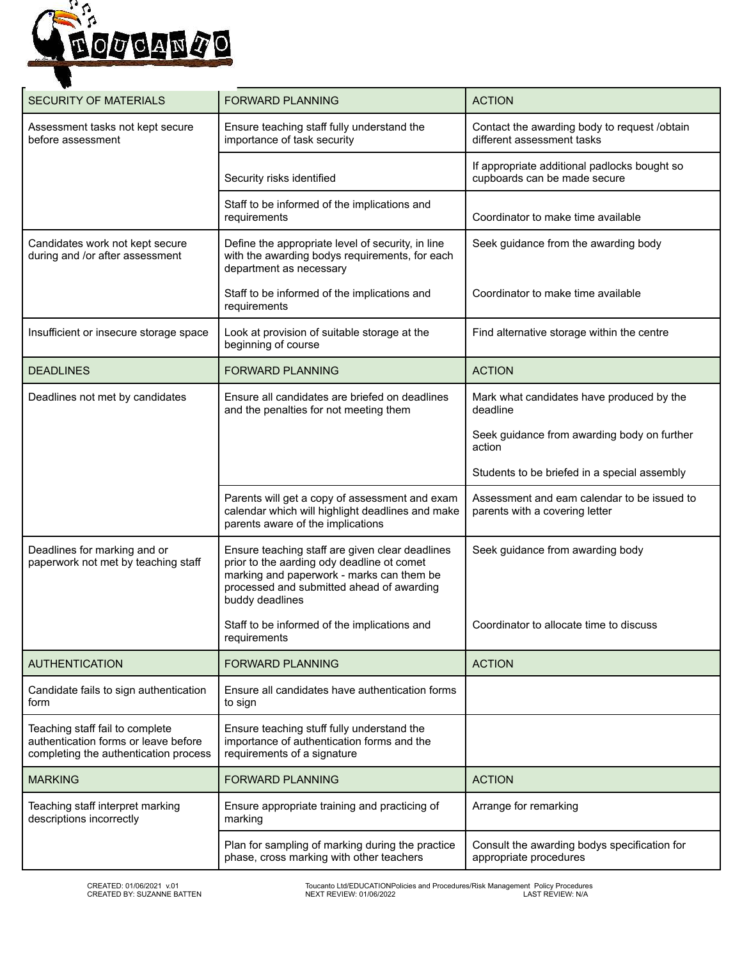

| <b>SECURITY OF MATERIALS</b>                                                                                     | <b>FORWARD PLANNING</b>                                                                                                                                                                                    | <b>ACTION</b>                                                                 |
|------------------------------------------------------------------------------------------------------------------|------------------------------------------------------------------------------------------------------------------------------------------------------------------------------------------------------------|-------------------------------------------------------------------------------|
| Assessment tasks not kept secure<br>before assessment                                                            | Ensure teaching staff fully understand the<br>importance of task security                                                                                                                                  | Contact the awarding body to request /obtain<br>different assessment tasks    |
|                                                                                                                  | Security risks identified                                                                                                                                                                                  | If appropriate additional padlocks bought so<br>cupboards can be made secure  |
|                                                                                                                  | Staff to be informed of the implications and<br>requirements                                                                                                                                               | Coordinator to make time available                                            |
| Candidates work not kept secure<br>during and /or after assessment                                               | Define the appropriate level of security, in line<br>with the awarding bodys requirements, for each<br>department as necessary                                                                             | Seek guidance from the awarding body                                          |
|                                                                                                                  | Staff to be informed of the implications and<br>requirements                                                                                                                                               | Coordinator to make time available                                            |
| Insufficient or insecure storage space                                                                           | Look at provision of suitable storage at the<br>beginning of course                                                                                                                                        | Find alternative storage within the centre                                    |
| <b>DEADLINES</b>                                                                                                 | <b>FORWARD PLANNING</b>                                                                                                                                                                                    | <b>ACTION</b>                                                                 |
| Deadlines not met by candidates                                                                                  | Ensure all candidates are briefed on deadlines<br>and the penalties for not meeting them                                                                                                                   | Mark what candidates have produced by the<br>deadline                         |
|                                                                                                                  |                                                                                                                                                                                                            | Seek guidance from awarding body on further<br>action                         |
|                                                                                                                  |                                                                                                                                                                                                            | Students to be briefed in a special assembly                                  |
|                                                                                                                  | Parents will get a copy of assessment and exam<br>calendar which will highlight deadlines and make<br>parents aware of the implications                                                                    | Assessment and eam calendar to be issued to<br>parents with a covering letter |
| Deadlines for marking and or<br>paperwork not met by teaching staff                                              | Ensure teaching staff are given clear deadlines<br>prior to the aarding ody deadline ot comet<br>marking and paperwork - marks can them be<br>processed and submitted ahead of awarding<br>buddy deadlines | Seek guidance from awarding body                                              |
|                                                                                                                  | Staff to be informed of the implications and<br>requirements                                                                                                                                               | Coordinator to allocate time to discuss                                       |
| <b>AUTHENTICATION</b>                                                                                            | <b>FORWARD PLANNING</b>                                                                                                                                                                                    | <b>ACTION</b>                                                                 |
| Candidate fails to sign authentication<br>form                                                                   | Ensure all candidates have authentication forms<br>to sign                                                                                                                                                 |                                                                               |
| Teaching staff fail to complete<br>authentication forms or leave before<br>completing the authentication process | Ensure teaching stuff fully understand the<br>importance of authentication forms and the<br>requirements of a signature                                                                                    |                                                                               |
| <b>MARKING</b>                                                                                                   | <b>FORWARD PLANNING</b>                                                                                                                                                                                    | <b>ACTION</b>                                                                 |
| Teaching staff interpret marking<br>descriptions incorrectly                                                     | Ensure appropriate training and practicing of<br>marking                                                                                                                                                   | Arrange for remarking                                                         |
|                                                                                                                  | Plan for sampling of marking during the practice<br>phase, cross marking with other teachers                                                                                                               | Consult the awarding bodys specification for<br>appropriate procedures        |

CREATED: 01/06/2021 v.01 Toucanto Ltd/EDUCATIONPolicies and Procedures/Risk Management Policy Procedures CREATED BY: SUZANNE BATTEN NEXT REVIEW: 01/06/2022 LAST REVIEW: N/A